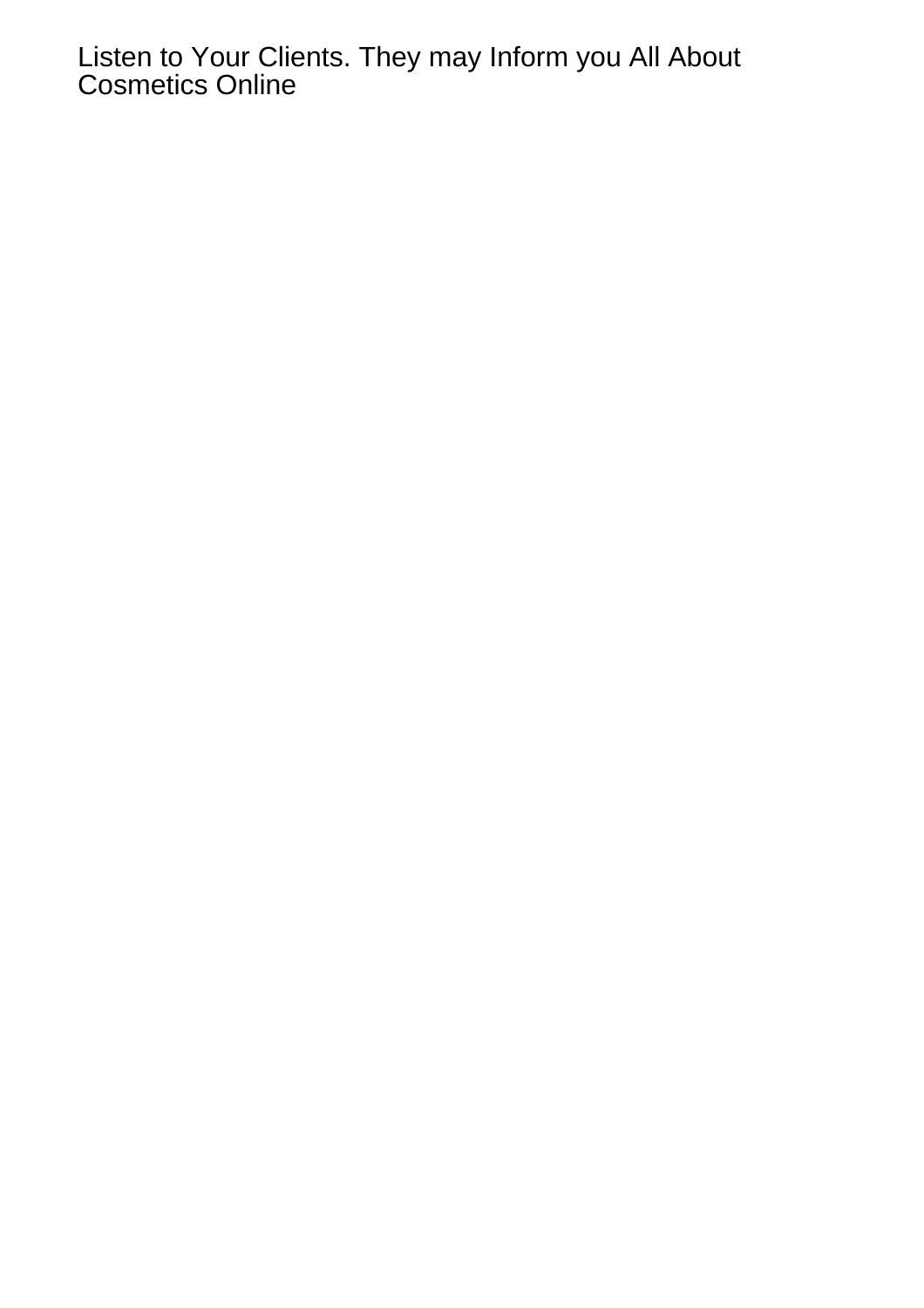Listen to Your Clients. They may Inform you All About Cosmetics Online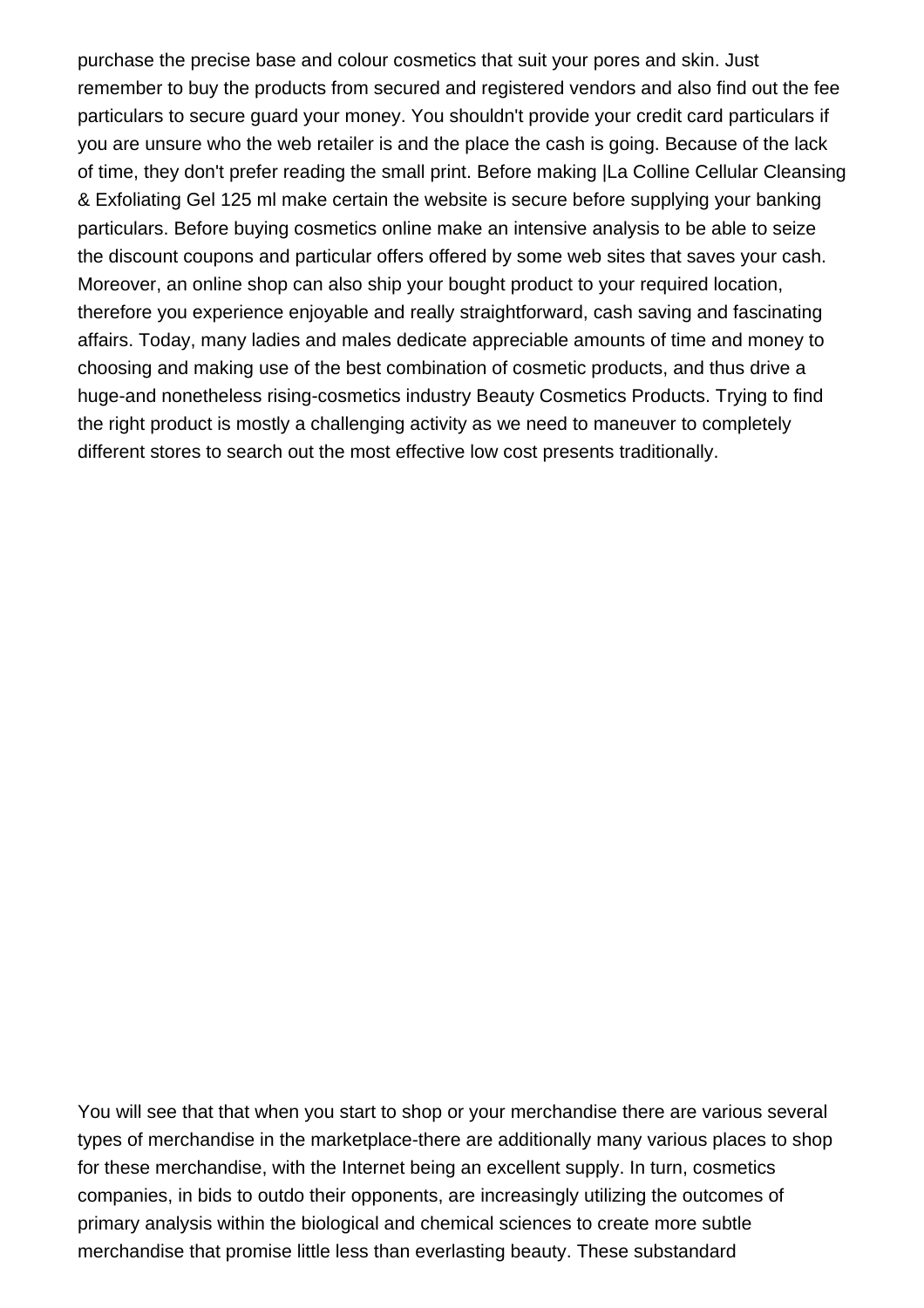purchase the precise base and colour cosmetics that suit your pores and skin. Just remember to buy the products from secured and registered vendors and also find out the fee particulars to secure guard your money. You shouldn't provide your credit card particulars if you are unsure who the web retailer is and the place the cash is going. Because of the lack of time, they don't prefer reading the small print. Before making [|La Colline Cellular Cleansing](https://myswisscosmetics.com/shop/la-colline-cellular-cleansing-exfoliating-gel-125-ml/|) [& Exfoliating Gel 125 ml](https://myswisscosmetics.com/shop/la-colline-cellular-cleansing-exfoliating-gel-125-ml/|) make certain the website is secure before supplying your banking particulars. Before buying cosmetics online make an intensive analysis to be able to seize the discount coupons and particular offers offered by some web sites that saves your cash. Moreover, an online shop can also ship your bought product to your required location, therefore you experience enjoyable and really straightforward, cash saving and fascinating affairs. Today, many ladies and males dedicate appreciable amounts of time and money to choosing and making use of the best combination of cosmetic products, and thus drive a huge-and nonetheless rising-cosmetics industry Beauty Cosmetics Products. Trying to find the right product is mostly a challenging activity as we need to maneuver to completely different stores to search out the most effective low cost presents traditionally.

You will see that that when you start to shop or your merchandise there are various several types of merchandise in the marketplace-there are additionally many various places to shop for these merchandise, with the Internet being an excellent supply. In turn, cosmetics companies, in bids to outdo their opponents, are increasingly utilizing the outcomes of primary analysis within the biological and chemical sciences to create more subtle merchandise that promise little less than everlasting beauty. These substandard